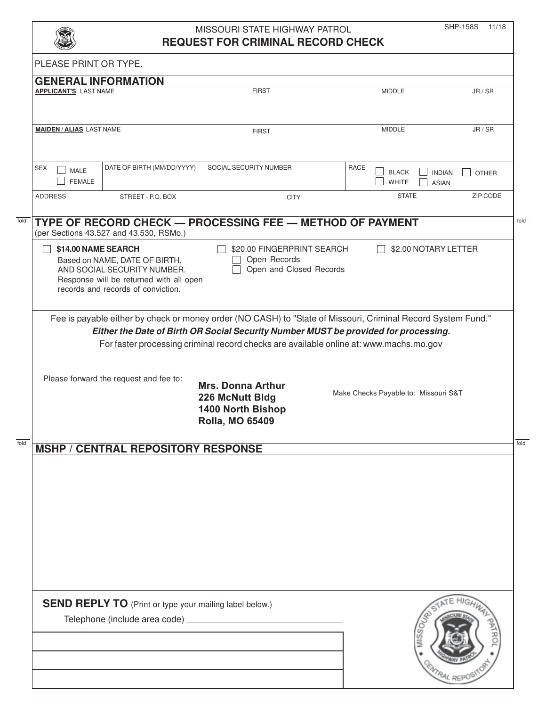|                                          | MISSOURI STATE HIGHWAY PATROL |  |
|------------------------------------------|-------------------------------|--|
| <b>REQUEST FOR CRIMINAL RECORD CHECK</b> |                               |  |

SHP-158S 11/18

|                                            |                                                                                                                                                                      | MISSOURI STATE HIGHWAY PATROL<br><b>REQUEST FOR CRIMINAL RECORD CHECK</b>                                                                                                                                                                         |                                      | <b>SHP-158S</b><br>11/18                      |
|--------------------------------------------|----------------------------------------------------------------------------------------------------------------------------------------------------------------------|---------------------------------------------------------------------------------------------------------------------------------------------------------------------------------------------------------------------------------------------------|--------------------------------------|-----------------------------------------------|
| PLEASE PRINT OR TYPE.                      |                                                                                                                                                                      |                                                                                                                                                                                                                                                   |                                      |                                               |
|                                            | <b>GENERAL INFORMATION</b>                                                                                                                                           |                                                                                                                                                                                                                                                   |                                      |                                               |
| <b>APPLICANT'S LAST NAME</b>               |                                                                                                                                                                      | <b>FIRST</b>                                                                                                                                                                                                                                      | <b>MIDDLE</b>                        | JR / SR                                       |
| <b>MAIDEN/ALIAS LAST NAME</b>              |                                                                                                                                                                      | <b>FIRST</b>                                                                                                                                                                                                                                      | <b>MIDDLE</b>                        | JR / SR                                       |
| <b>SEX</b><br><b>MALE</b><br><b>FEMALE</b> | DATE OF BIRTH (MM/DD/YYYY)                                                                                                                                           | SOCIAL SECURITY NUMBER                                                                                                                                                                                                                            | RACE<br><b>BLACK</b><br><b>WHITE</b> | <b>INDIAN</b><br><b>OTHER</b><br><b>ASIAN</b> |
| <b>ADDRESS</b>                             | STREET - P.O. BOX                                                                                                                                                    | <b>CITY</b>                                                                                                                                                                                                                                       | <b>STATE</b>                         | ZIP CODE                                      |
|                                            | \$14.00 NAME SEARCH<br>Based on NAME, DATE OF BIRTH,<br>AND SOCIAL SECURITY NUMBER.<br>Response will be returned with all open<br>records and records of conviction. | \$20.00 FINGERPRINT SEARCH<br>Open Records<br>Open and Closed Records                                                                                                                                                                             | \$2.00 NOTARY LETTER                 |                                               |
|                                            | Please forward the request and fee to:                                                                                                                               | Either the Date of Birth OR Social Security Number MUST be provided for processing.<br>For faster processing criminal record checks are available online at: www.machs.mo.gov<br><b>Mrs. Donna Arthur</b><br>226 McNutt Bldg<br>1400 North Bishop | Make Checks Payable to: Missouri S&T |                                               |
|                                            | <b>MSHP / CENTRAL REPOSITORY RESPONSE</b>                                                                                                                            | <b>Rolla, MO 65409</b>                                                                                                                                                                                                                            |                                      |                                               |
|                                            |                                                                                                                                                                      |                                                                                                                                                                                                                                                   |                                      |                                               |
|                                            |                                                                                                                                                                      |                                                                                                                                                                                                                                                   |                                      |                                               |